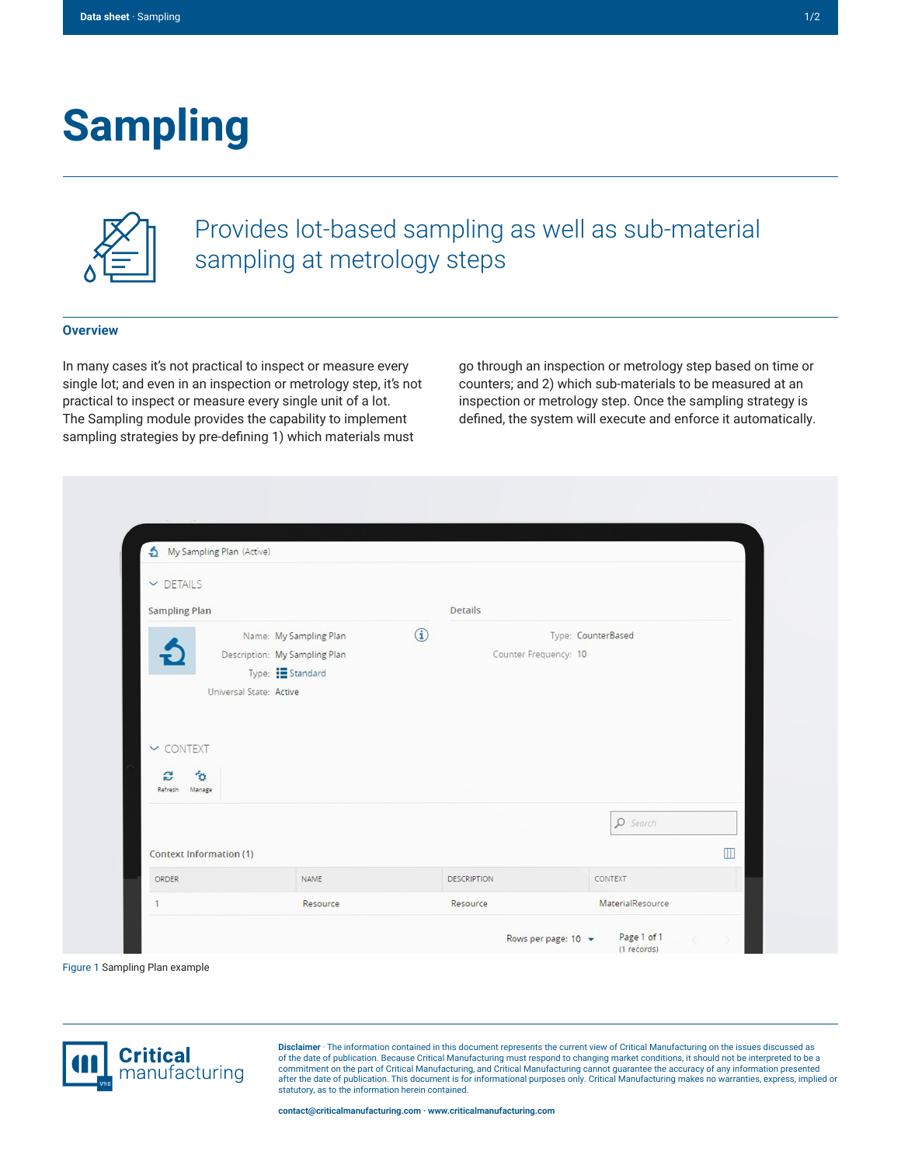# **Sampling**



Provides lot-based sampling as well as sub-material sampling at metrology steps

#### **Overview**

In many cases it's not practical to inspect or measure every single lot; and even in an inspection or metrology step, it's not practical to inspect or measure every single unit of a lot. The Sampling module provides the capability to implement sampling strategies by pre-defining 1) which materials must

go through an inspection or metrology step based on time or counters; and 2) which sub-materials to be measured at an inspection or metrology step. Once the sampling strategy is defined, the system will execute and enforce it automatically.

| $\vee$ DETAILS                                |                                                                                                       |            |                       |                    |   |
|-----------------------------------------------|-------------------------------------------------------------------------------------------------------|------------|-----------------------|--------------------|---|
| <b>Sampling Plan</b>                          |                                                                                                       |            | <b>Details</b>        |                    |   |
|                                               | Name: My Sampling Plan<br>Description: My Sampling Plan<br>Type: EStandard<br>Universal State: Active | $\bigcirc$ | Counter Frequency: 10 | Type: CounterBased |   |
| $\sim$ CONTEXT<br>勿<br>S<br>Refresh<br>Manage |                                                                                                       |            |                       |                    |   |
| <b>Context Information (1)</b>                |                                                                                                       |            |                       | $\Omega$ Search    | m |
| <b>ORDER</b>                                  | NAME                                                                                                  |            | <b>DESCRIPTION</b>    | CONTEXT            |   |



**Disclaimer** · The information contained in this document represents the current view of Critical Manufacturing on the issues discussed as of the date of publication. Because Critical Manufacturing must respond to changing market conditions, it should not be interpreted to be a<br>commitment on the part of Critical Manufacturing, and Critical Manufacturing canno statutory, as to the information herein contained.